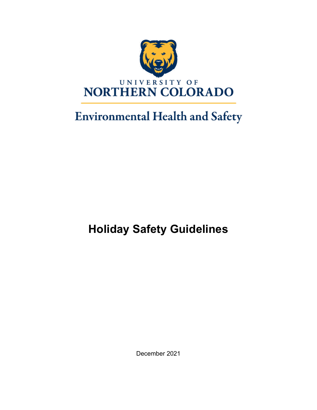

# **Environmental Health and Safety**

# **Holiday Safety Guidelines**

December 2021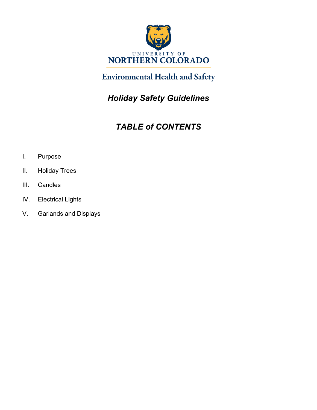

## **Environmental Health and Safety**

*Holiday Safety Guidelines* 

## *TABLE of CONTENTS*

- I. Purpose
- II. Holiday Trees
- III. Candles
- IV. Electrical Lights
- V. Garlands and Displays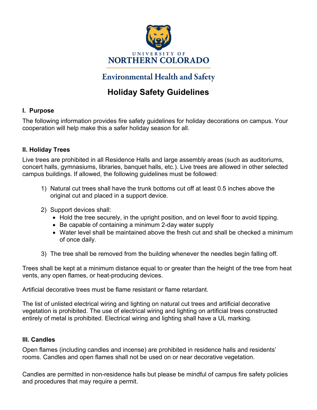

### **Environmental Health and Safety**

### **Holiday Safety Guidelines**

#### **I. Purpose**

The following information provides fire safety guidelines for holiday decorations on campus. Your cooperation will help make this a safer holiday season for all.

#### **II. Holiday Trees**

Live trees are prohibited in all Residence Halls and large assembly areas (such as auditoriums, concert halls, gymnasiums, libraries, banquet halls, etc.). Live trees are allowed in other selected campus buildings. If allowed, the following guidelines must be followed:

- 1) Natural cut trees shall have the trunk bottoms cut off at least 0.5 inches above the original cut and placed in a support device.
- 2) Support devices shall:
	- Hold the tree securely, in the upright position, and on level floor to avoid tipping.
	- Be capable of containing a minimum 2-day water supply
	- Water level shall be maintained above the fresh cut and shall be checked a minimum of once daily.
- 3) The tree shall be removed from the building whenever the needles begin falling off.

Trees shall be kept at a minimum distance equal to or greater than the height of the tree from heat vents, any open flames, or heat-producing devices.

Artificial decorative trees must be flame resistant or flame retardant.

The list of unlisted electrical wiring and lighting on natural cut trees and artificial decorative vegetation is prohibited. The use of electrical wiring and lighting on artificial trees constructed entirely of metal is prohibited. Electrical wiring and lighting shall have a UL marking.

#### **III. Candles**

Open flames (including candles and incense) are prohibited in residence halls and residents' rooms. Candles and open flames shall not be used on or near decorative vegetation.

Candles are permitted in non-residence halls but please be mindful of campus fire safety policies and procedures that may require a permit.